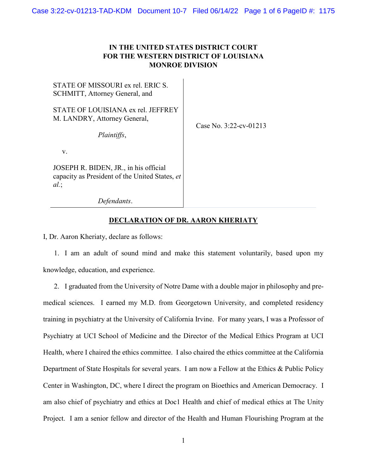## **IN THE UNITED STATES DISTRICT COURT FOR THE WESTERN DISTRICT OF LOUISIANA MONROE DIVISION**

 $\overline{1}$ 

| STATE OF MISSOURI ex rel. ERIC S.<br>SCHMITT, Attorney General, and                            |                           |
|------------------------------------------------------------------------------------------------|---------------------------|
| STATE OF LOUISIANA ex rel. JEFFREY<br>M. LANDRY, Attorney General,<br>Plaintiffs,              | Case No. $3:22$ -cv-01213 |
| V.                                                                                             |                           |
| JOSEPH R. BIDEN, JR., in his official<br>capacity as President of the United States, et<br>al. |                           |
| Defendants.                                                                                    |                           |

## **DECLARATION OF DR. AARON KHERIATY**

I, Dr. Aaron Kheriaty, declare as follows:

1. I am an adult of sound mind and make this statement voluntarily, based upon my knowledge, education, and experience.

2. I graduated from the University of Notre Dame with a double major in philosophy and premedical sciences. I earned my M.D. from Georgetown University, and completed residency training in psychiatry at the University of California Irvine. For many years, I was a Professor of Psychiatry at UCI School of Medicine and the Director of the Medical Ethics Program at UCI Health, where I chaired the ethics committee. I also chaired the ethics committee at the California Department of State Hospitals for several years. I am now a Fellow at the Ethics & Public Policy Center in Washington, DC, where I direct the program on Bioethics and American Democracy. I am also chief of psychiatry and ethics at Doc1 Health and chief of medical ethics at The Unity Project. I am a senior fellow and director of the Health and Human Flourishing Program at the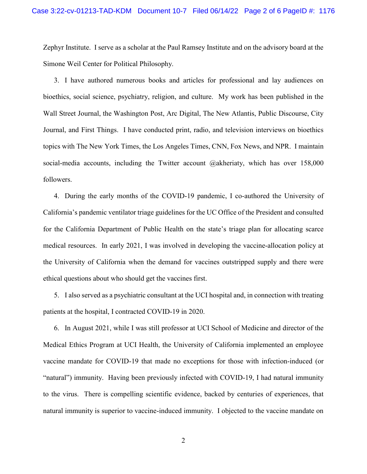Zephyr Institute. I serve as a scholar at the Paul Ramsey Institute and on the advisory board at the Simone Weil Center for Political Philosophy.

3. I have authored numerous books and articles for professional and lay audiences on bioethics, social science, psychiatry, religion, and culture. My work has been published in the Wall Street Journal, the Washington Post, Arc Digital, The New Atlantis, Public Discourse, City Journal, and First Things. I have conducted print, radio, and television interviews on bioethics topics with The New York Times, the Los Angeles Times, CNN, Fox News, and NPR. I maintain social-media accounts, including the Twitter account @akheriaty, which has over 158,000 followers.

4. During the early months of the COVID-19 pandemic, I co-authored the University of California's pandemic ventilator triage guidelines for the UC Office of the President and consulted for the California Department of Public Health on the state's triage plan for allocating scarce medical resources. In early 2021, I was involved in developing the vaccine-allocation policy at the University of California when the demand for vaccines outstripped supply and there were ethical questions about who should get the vaccines first.

5. I also served as a psychiatric consultant at the UCI hospital and, in connection with treating patients at the hospital, I contracted COVID-19 in 2020.

6. In August 2021, while I was still professor at UCI School of Medicine and director of the Medical Ethics Program at UCI Health, the University of California implemented an employee vaccine mandate for COVID-19 that made no exceptions for those with infection-induced (or "natural") immunity. Having been previously infected with COVID-19, I had natural immunity to the virus. There is compelling scientific evidence, backed by centuries of experiences, that natural immunity is superior to vaccine-induced immunity. I objected to the vaccine mandate on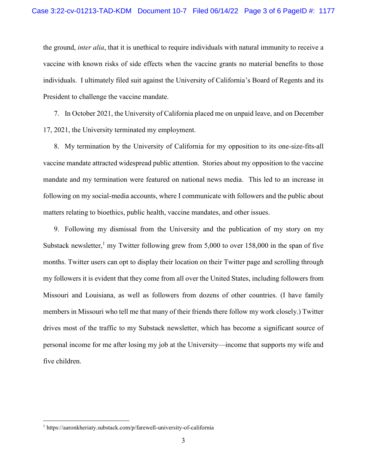the ground, *inter alia*, that it is unethical to require individuals with natural immunity to receive a vaccine with known risks of side effects when the vaccine grants no material benefits to those individuals. I ultimately filed suit against the University of California's Board of Regents and its President to challenge the vaccine mandate.

7. In October 2021, the University of California placed me on unpaid leave, and on December 17, 2021, the University terminated my employment.

8. My termination by the University of California for my opposition to its one-size-fits-all vaccine mandate attracted widespread public attention. Stories about my opposition to the vaccine mandate and my termination were featured on national news media. This led to an increase in following on my social-media accounts, where I communicate with followers and the public about matters relating to bioethics, public health, vaccine mandates, and other issues.

9. Following my dismissal from the University and the publication of my story on my Substack newsletter,<sup>1</sup> my Twitter following grew from 5,000 to over 158,000 in the span of five months. Twitter users can opt to display their location on their Twitter page and scrolling through my followers it is evident that they come from all over the United States, including followers from Missouri and Louisiana, as well as followers from dozens of other countries. (I have family members in Missouri who tell me that many of their friends there follow my work closely.) Twitter drives most of the traffic to my Substack newsletter, which has become a significant source of personal income for me after losing my job at the University—income that supports my wife and five children.

 $\overline{\phantom{a}}$ 

<sup>1</sup> https://aaronkheriaty.substack.com/p/farewell-university-of-california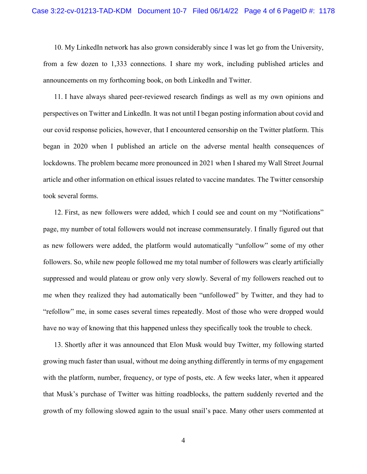10. My LinkedIn network has also grown considerably since I was let go from the University, from a few dozen to 1,333 connections. I share my work, including published articles and announcements on my forthcoming book, on both LinkedIn and Twitter.

11. I have always shared peer-reviewed research findings as well as my own opinions and perspectives on Twitter and LinkedIn. It was not until I began posting information about covid and our covid response policies, however, that I encountered censorship on the Twitter platform. This began in 2020 when I published an article on the adverse mental health consequences of lockdowns. The problem became more pronounced in 2021 when I shared my Wall Street Journal article and other information on ethical issues related to vaccine mandates. The Twitter censorship took several forms.

12. First, as new followers were added, which I could see and count on my "Notifications" page, my number of total followers would not increase commensurately. I finally figured out that as new followers were added, the platform would automatically "unfollow" some of my other followers. So, while new people followed me my total number of followers was clearly artificially suppressed and would plateau or grow only very slowly. Several of my followers reached out to me when they realized they had automatically been "unfollowed" by Twitter, and they had to "refollow" me, in some cases several times repeatedly. Most of those who were dropped would have no way of knowing that this happened unless they specifically took the trouble to check.

13. Shortly after it was announced that Elon Musk would buy Twitter, my following started growing much faster than usual, without me doing anything differently in terms of my engagement with the platform, number, frequency, or type of posts, etc. A few weeks later, when it appeared that Musk's purchase of Twitter was hitting roadblocks, the pattern suddenly reverted and the growth of my following slowed again to the usual snail's pace. Many other users commented at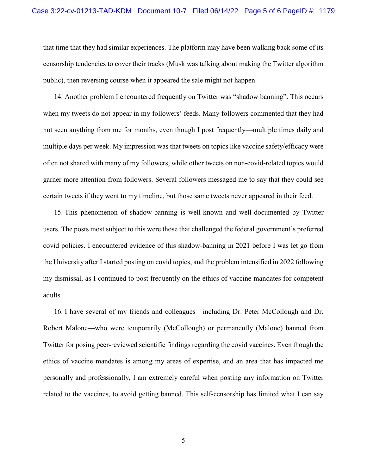that time that they had similar experiences. The platform may have been walking back some of its censorship tendencies to cover their tracks (Musk was talking about making the Twitter algorithm public), then reversing course when it appeared the sale might not happen.

14. Another problem I encountered frequently on Twitter was "shadow banning". This occurs when my tweets do not appear in my followers' feeds. Many followers commented that they had not seen anything from me for months, even though I post frequently—multiple times daily and multiple days per week. My impression was that tweets on topics like vaccine safety/efficacy were often not shared with many of my followers, while other tweets on non-covid-related topics would garner more attention from followers. Several followers messaged me to say that they could see certain tweets if they went to my timeline, but those same tweets never appeared in their feed.

15. This phenomenon of shadow-banning is well-known and well-documented by Twitter users. The posts most subject to this were those that challenged the federal government's preferred covid policies. I encountered evidence of this shadow-banning in 2021 before I was let go from the University after I started posting on covid topics, and the problem intensified in 2022 following my dismissal, as I continued to post frequently on the ethics of vaccine mandates for competent adults.

16. I have several of my friends and colleagues—including Dr. Peter McCollough and Dr. Robert Malone—who were temporarily (McCollough) or permanently (Malone) banned from Twitter for posing peer-reviewed scientific findings regarding the covid vaccines. Even though the ethics of vaccine mandates is among my areas of expertise, and an area that has impacted me personally and professionally, I am extremely careful when posting any information on Twitter related to the vaccines, to avoid getting banned. This self-censorship has limited what I can say